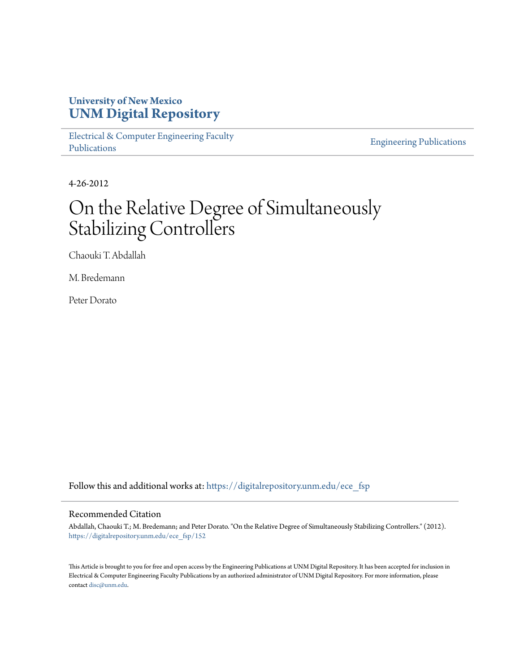# **University of New Mexico [UNM Digital Repository](https://digitalrepository.unm.edu?utm_source=digitalrepository.unm.edu%2Fece_fsp%2F152&utm_medium=PDF&utm_campaign=PDFCoverPages)**

[Electrical & Computer Engineering Faculty](https://digitalrepository.unm.edu/ece_fsp?utm_source=digitalrepository.unm.edu%2Fece_fsp%2F152&utm_medium=PDF&utm_campaign=PDFCoverPages) [Publications](https://digitalrepository.unm.edu/ece_fsp?utm_source=digitalrepository.unm.edu%2Fece_fsp%2F152&utm_medium=PDF&utm_campaign=PDFCoverPages)

[Engineering Publications](https://digitalrepository.unm.edu/eng_fsp?utm_source=digitalrepository.unm.edu%2Fece_fsp%2F152&utm_medium=PDF&utm_campaign=PDFCoverPages)

4-26-2012

# On the Relative Degree of Simultaneously Stabilizing Controllers

Chaouki T. Abdallah

M. Bredemann

Peter Dorato

Follow this and additional works at: [https://digitalrepository.unm.edu/ece\\_fsp](https://digitalrepository.unm.edu/ece_fsp?utm_source=digitalrepository.unm.edu%2Fece_fsp%2F152&utm_medium=PDF&utm_campaign=PDFCoverPages)

## Recommended Citation

Abdallah, Chaouki T.; M. Bredemann; and Peter Dorato. "On the Relative Degree of Simultaneously Stabilizing Controllers." (2012). [https://digitalrepository.unm.edu/ece\\_fsp/152](https://digitalrepository.unm.edu/ece_fsp/152?utm_source=digitalrepository.unm.edu%2Fece_fsp%2F152&utm_medium=PDF&utm_campaign=PDFCoverPages)

This Article is brought to you for free and open access by the Engineering Publications at UNM Digital Repository. It has been accepted for inclusion in Electrical & Computer Engineering Faculty Publications by an authorized administrator of UNM Digital Repository. For more information, please contact [disc@unm.edu.](mailto:disc@unm.edu)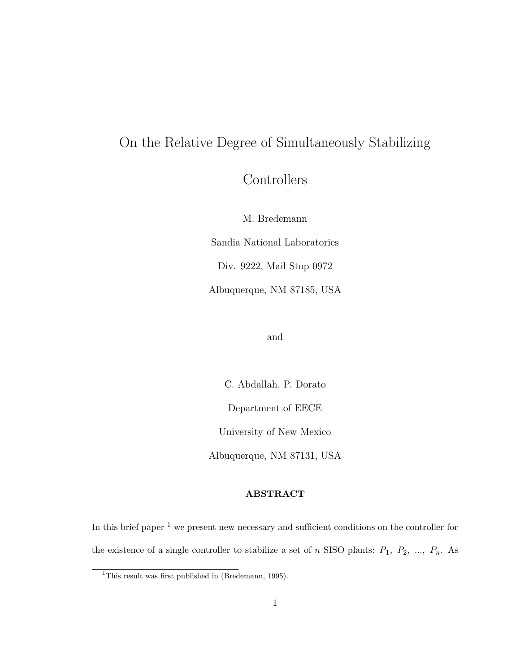# On the Relative Degree of Simultaneously Stabilizing

Controllers

M. Bredemann

Sandia National Laboratories Div. 9222, Mail Stop 0972 Albuquerque, NM 87185, USA

and

C. Abdallah, P. Dorato Department of EECE University of New Mexico Albuquerque, NM 87131, USA

#### ABSTRACT

In this brief paper  $1$  we present new necessary and sufficient conditions on the controller for the existence of a single controller to stabilize a set of n SISO plants:  $P_1$ ,  $P_2$ , ...,  $P_n$ . As

<sup>&</sup>lt;sup>1</sup>This result was first published in (Bredemann, 1995).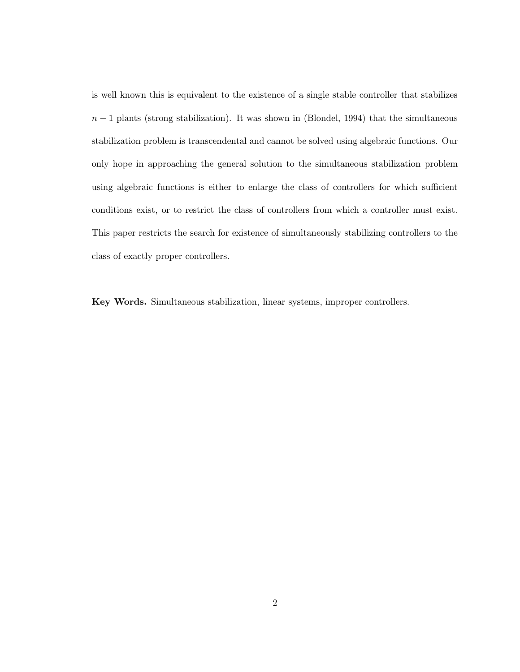is well known this is equivalent to the existence of a single stable controller that stabilizes  $n-1$  plants (strong stabilization). It was shown in (Blondel, 1994) that the simultaneous stabilization problem is transcendental and cannot be solved using algebraic functions. Our only hope in approaching the general solution to the simultaneous stabilization problem using algebraic functions is either to enlarge the class of controllers for which sufficient conditions exist, or to restrict the class of controllers from which a controller must exist. This paper restricts the search for existence of simultaneously stabilizing controllers to the class of exactly proper controllers.

Key Words. Simultaneous stabilization, linear systems, improper controllers.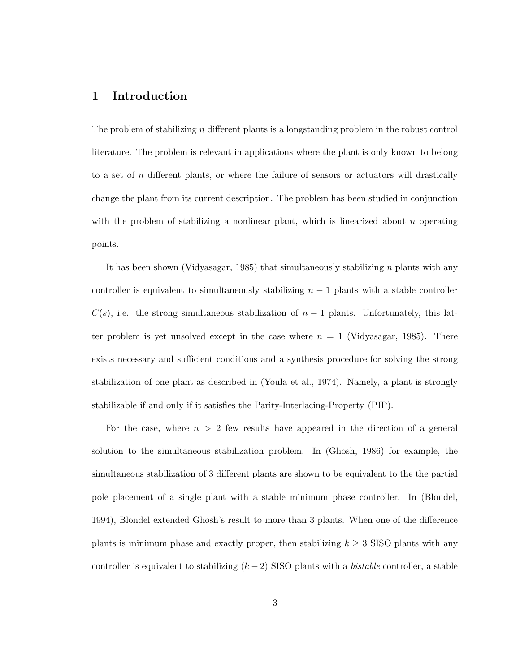# 1 Introduction

The problem of stabilizing n different plants is a longstanding problem in the robust control literature. The problem is relevant in applications where the plant is only known to belong to a set of n different plants, or where the failure of sensors or actuators will drastically change the plant from its current description. The problem has been studied in conjunction with the problem of stabilizing a nonlinear plant, which is linearized about  $n$  operating points.

It has been shown (Vidyasagar, 1985) that simultaneously stabilizing  $n$  plants with any controller is equivalent to simultaneously stabilizing  $n-1$  plants with a stable controller  $C(s)$ , i.e. the strong simultaneous stabilization of  $n-1$  plants. Unfortunately, this latter problem is yet unsolved except in the case where  $n = 1$  (Vidyasagar, 1985). There exists necessary and sufficient conditions and a synthesis procedure for solving the strong stabilization of one plant as described in (Youla et al., 1974). Namely, a plant is strongly stabilizable if and only if it satisfies the Parity-Interlacing-Property (PIP).

For the case, where  $n > 2$  few results have appeared in the direction of a general solution to the simultaneous stabilization problem. In (Ghosh, 1986) for example, the simultaneous stabilization of 3 different plants are shown to be equivalent to the the partial pole placement of a single plant with a stable minimum phase controller. In (Blondel, 1994), Blondel extended Ghosh's result to more than 3 plants. When one of the difference plants is minimum phase and exactly proper, then stabilizing  $k \geq 3$  SISO plants with any controller is equivalent to stabilizing  $(k-2)$  SISO plants with a *bistable* controller, a stable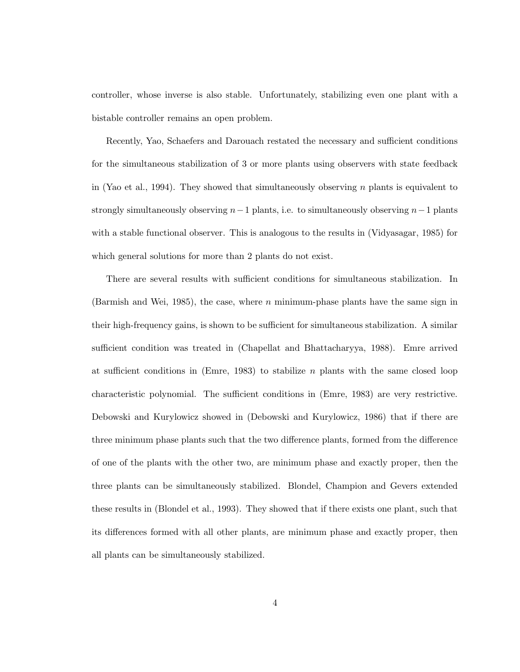controller, whose inverse is also stable. Unfortunately, stabilizing even one plant with a bistable controller remains an open problem.

Recently, Yao, Schaefers and Darouach restated the necessary and sufficient conditions for the simultaneous stabilization of 3 or more plants using observers with state feedback in (Yao et al., 1994). They showed that simultaneously observing n plants is equivalent to strongly simultaneously observing  $n-1$  plants, i.e. to simultaneously observing  $n-1$  plants with a stable functional observer. This is analogous to the results in (Vidyasagar, 1985) for which general solutions for more than 2 plants do not exist.

There are several results with sufficient conditions for simultaneous stabilization. In (Barmish and Wei, 1985), the case, where n minimum-phase plants have the same sign in their high-frequency gains, is shown to be sufficient for simultaneous stabilization. A similar sufficient condition was treated in (Chapellat and Bhattacharyya, 1988). Emre arrived at sufficient conditions in (Emre, 1983) to stabilize n plants with the same closed loop characteristic polynomial. The sufficient conditions in (Emre, 1983) are very restrictive. Debowski and Kurylowicz showed in (Debowski and Kurylowicz, 1986) that if there are three minimum phase plants such that the two difference plants, formed from the difference of one of the plants with the other two, are minimum phase and exactly proper, then the three plants can be simultaneously stabilized. Blondel, Champion and Gevers extended these results in (Blondel et al., 1993). They showed that if there exists one plant, such that its differences formed with all other plants, are minimum phase and exactly proper, then all plants can be simultaneously stabilized.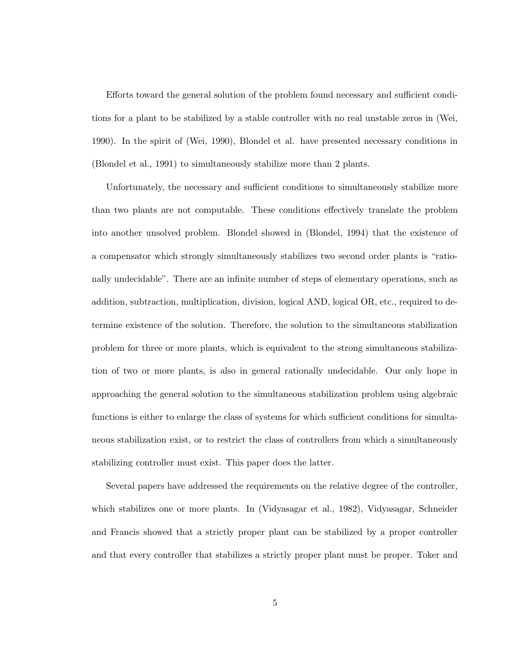Efforts toward the general solution of the problem found necessary and sufficient conditions for a plant to be stabilized by a stable controller with no real unstable zeros in (Wei, 1990). In the spirit of (Wei, 1990), Blondel et al. have presented necessary conditions in (Blondel et al., 1991) to simultaneously stabilize more than 2 plants.

Unfortunately, the necessary and sufficient conditions to simultaneously stabilize more than two plants are not computable. These conditions effectively translate the problem into another unsolved problem. Blondel showed in (Blondel, 1994) that the existence of a compensator which strongly simultaneously stabilizes two second order plants is "rationally undecidable". There are an infinite number of steps of elementary operations, such as addition, subtraction, multiplication, division, logical AND, logical OR, etc., required to determine existence of the solution. Therefore, the solution to the simultaneous stabilization problem for three or more plants, which is equivalent to the strong simultaneous stabilization of two or more plants, is also in general rationally undecidable. Our only hope in approaching the general solution to the simultaneous stabilization problem using algebraic functions is either to enlarge the class of systems for which sufficient conditions for simultaneous stabilization exist, or to restrict the class of controllers from which a simultaneously stabilizing controller must exist. This paper does the latter.

Several papers have addressed the requirements on the relative degree of the controller, which stabilizes one or more plants. In (Vidyasagar et al., 1982), Vidyasagar, Schneider and Francis showed that a strictly proper plant can be stabilized by a proper controller and that every controller that stabilizes a strictly proper plant must be proper. Toker and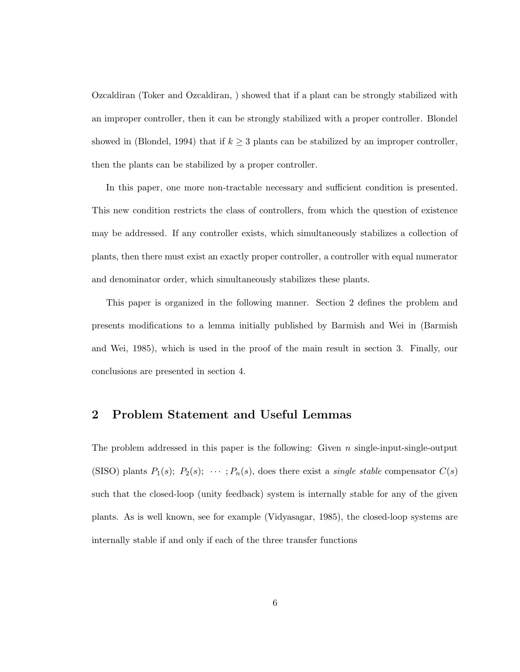Ozcaldiran (Toker and Ozcaldiran, ) showed that if a plant can be strongly stabilized with an improper controller, then it can be strongly stabilized with a proper controller. Blondel showed in (Blondel, 1994) that if  $k \geq 3$  plants can be stabilized by an improper controller, then the plants can be stabilized by a proper controller.

In this paper, one more non-tractable necessary and sufficient condition is presented. This new condition restricts the class of controllers, from which the question of existence may be addressed. If any controller exists, which simultaneously stabilizes a collection of plants, then there must exist an exactly proper controller, a controller with equal numerator and denominator order, which simultaneously stabilizes these plants.

This paper is organized in the following manner. Section 2 defines the problem and presents modifications to a lemma initially published by Barmish and Wei in (Barmish and Wei, 1985), which is used in the proof of the main result in section 3. Finally, our conclusions are presented in section 4.

## 2 Problem Statement and Useful Lemmas

The problem addressed in this paper is the following: Given  $n$  single-input-single-output (SISO) plants  $P_1(s)$ ;  $P_2(s)$ ;  $\cdots$ ;  $P_n(s)$ , does there exist a *single stable* compensator  $C(s)$ such that the closed-loop (unity feedback) system is internally stable for any of the given plants. As is well known, see for example (Vidyasagar, 1985), the closed-loop systems are internally stable if and only if each of the three transfer functions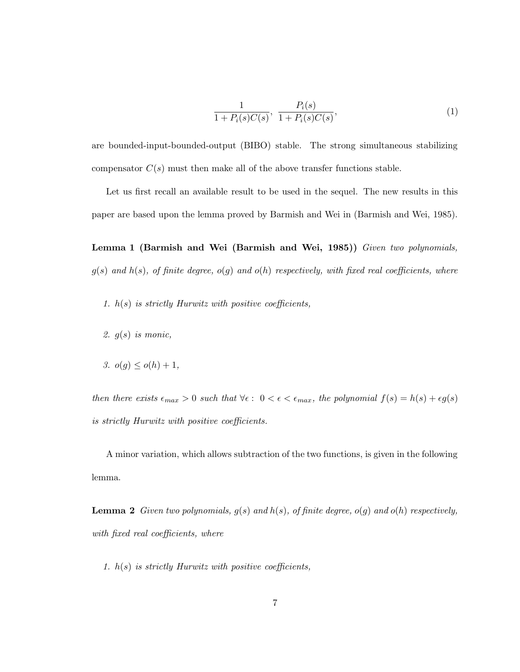$$
\frac{1}{1 + P_i(s)C(s)}, \frac{P_i(s)}{1 + P_i(s)C(s)},\tag{1}
$$

are bounded-input-bounded-output (BIBO) stable. The strong simultaneous stabilizing compensator  $C(s)$  must then make all of the above transfer functions stable.

Let us first recall an available result to be used in the sequel. The new results in this paper are based upon the lemma proved by Barmish and Wei in (Barmish and Wei, 1985).

Lemma 1 (Barmish and Wei (Barmish and Wei, 1985)) Given two polynomials,  $g(s)$  and  $h(s)$ , of finite degree,  $o(g)$  and  $o(h)$  respectively, with fixed real coefficients, where

- 1.  $h(s)$  is strictly Hurwitz with positive coefficients,
- 2.  $g(s)$  is monic,
- 3.  $o(q) \leq o(h) + 1$ ,

then there exists  $\epsilon_{max} > 0$  such that  $\forall \epsilon : 0 < \epsilon < \epsilon_{max}$ , the polynomial  $f(s) = h(s) + \epsilon g(s)$ is strictly Hurwitz with positive coefficients.

A minor variation, which allows subtraction of the two functions, is given in the following lemma.

**Lemma 2** Given two polynomials,  $g(s)$  and  $h(s)$ , of finite degree,  $o(g)$  and  $o(h)$  respectively, with fixed real coefficients, where

1.  $h(s)$  is strictly Hurwitz with positive coefficients,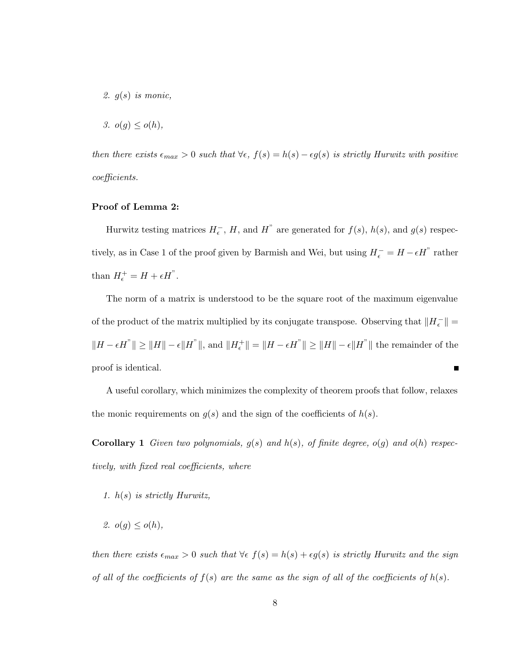2.  $g(s)$  is monic,

$$
3. \ o(g) \leq o(h),
$$

then there exists  $\epsilon_{max} > 0$  such that  $\forall \epsilon, f(s) = h(s) - \epsilon g(s)$  is strictly Hurwitz with positive coefficients.

#### Proof of Lemma 2:

Hurwitz testing matrices  $H_{\epsilon}^-$ , H, and H<sup>"</sup> are generated for  $f(s)$ ,  $h(s)$ , and  $g(s)$  respectively, as in Case 1 of the proof given by Barmish and Wei, but using  $H_{\epsilon}^- = H - \epsilon H^"$  rather than  $H_{\epsilon}^+ = H + \epsilon H^"$ .

The norm of a matrix is understood to be the square root of the maximum eigenvalue of the product of the matrix multiplied by its conjugate transpose. Observing that  $||H_{\epsilon}^-|| =$  $||H - \epsilon H^"|| \ge ||H|| - \epsilon ||H^"||$ , and  $||H_{\epsilon}^+|| = ||H - \epsilon H^"|| \ge ||H|| - \epsilon ||H^"||$  the remainder of the proof is identical. П

A useful corollary, which minimizes the complexity of theorem proofs that follow, relaxes the monic requirements on  $g(s)$  and the sign of the coefficients of  $h(s)$ .

**Corollary 1** Given two polynomials,  $g(s)$  and  $h(s)$ , of finite degree,  $o(g)$  and  $o(h)$  respectively, with fixed real coefficients, where

- 1. h(s) is strictly Hurwitz,
- 2.  $o(g) \leq o(h)$ ,

then there exists  $\epsilon_{max} > 0$  such that  $\forall \epsilon \ f(s) = h(s) + \epsilon g(s)$  is strictly Hurwitz and the sign of all of the coefficients of  $f(s)$  are the same as the sign of all of the coefficients of  $h(s)$ .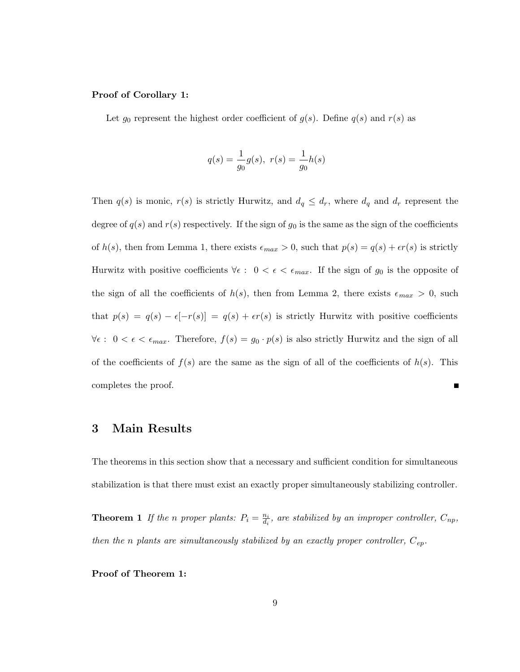#### Proof of Corollary 1:

Let  $g_0$  represent the highest order coefficient of  $g(s)$ . Define  $g(s)$  and  $r(s)$  as

$$
q(s) = \frac{1}{g_0}g(s), \ r(s) = \frac{1}{g_0}h(s)
$$

Then  $q(s)$  is monic,  $r(s)$  is strictly Hurwitz, and  $d_q \leq d_r$ , where  $d_q$  and  $d_r$  represent the degree of  $q(s)$  and  $r(s)$  respectively. If the sign of  $g_0$  is the same as the sign of the coefficients of  $h(s)$ , then from Lemma 1, there exists  $\epsilon_{max} > 0$ , such that  $p(s) = q(s) + \epsilon r(s)$  is strictly Hurwitz with positive coefficients  $\forall \epsilon : 0 < \epsilon < \epsilon_{max}$ . If the sign of  $g_0$  is the opposite of the sign of all the coefficients of  $h(s)$ , then from Lemma 2, there exists  $\epsilon_{max} > 0$ , such that  $p(s) = q(s) - \epsilon[-r(s)] = q(s) + \epsilon r(s)$  is strictly Hurwitz with positive coefficients  $\forall \epsilon : 0 < \epsilon < \epsilon_{max}$ . Therefore,  $f(s) = g_0 \cdot p(s)$  is also strictly Hurwitz and the sign of all of the coefficients of  $f(s)$  are the same as the sign of all of the coefficients of  $h(s)$ . This completes the proof.  $\blacksquare$ 

## 3 Main Results

The theorems in this section show that a necessary and sufficient condition for simultaneous stabilization is that there must exist an exactly proper simultaneously stabilizing controller.

**Theorem 1** If the *n* proper plants:  $P_i = \frac{n_i}{d_i}$  $\frac{n_i}{d_i}$ , are stabilized by an improper controller,  $C_{np}$ , then the n plants are simultaneously stabilized by an exactly proper controller,  $C_{ep}$ .

Proof of Theorem 1: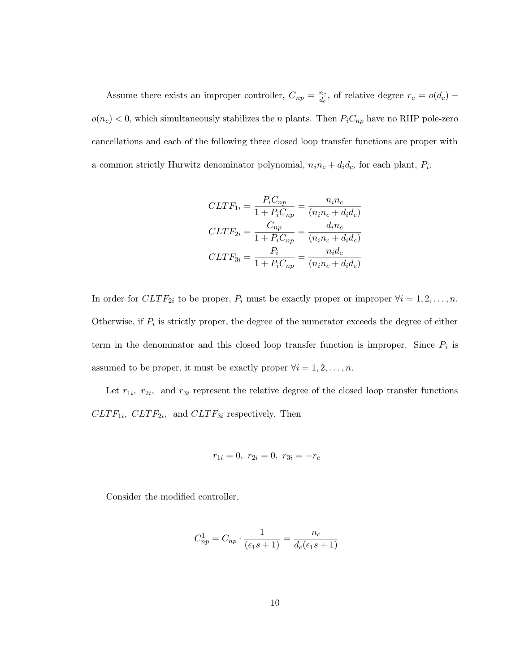Assume there exists an improper controller,  $C_{np} = \frac{n_c}{d_a}$  $\frac{n_c}{d_c}$ , of relative degree  $r_c = o(d_c)$  –  $o(n_c) < 0$ , which simultaneously stabilizes the *n* plants. Then  $P_i C_{np}$  have no RHP pole-zero cancellations and each of the following three closed loop transfer functions are proper with a common strictly Hurwitz denominator polynomial,  $n_i n_c + d_i d_c$ , for each plant,  $P_i$ .

$$
CLTF_{1i} = \frac{P_i C_{np}}{1 + P_i C_{np}} = \frac{n_i n_c}{(n_i n_c + d_i d_c)}
$$

$$
CLTF_{2i} = \frac{C_{np}}{1 + P_i C_{np}} = \frac{d_i n_c}{(n_i n_c + d_i d_c)}
$$

$$
CLTF_{3i} = \frac{P_i}{1 + P_i C_{np}} = \frac{n_i d_c}{(n_i n_c + d_i d_c)}
$$

In order for  $CLTF_{2i}$  to be proper,  $P_i$  must be exactly proper or improper  $\forall i = 1, 2, ..., n$ . Otherwise, if  $P_i$  is strictly proper, the degree of the numerator exceeds the degree of either term in the denominator and this closed loop transfer function is improper. Since  $P_i$  is assumed to be proper, it must be exactly proper  $\forall i = 1, 2, \ldots, n$ .

Let  $r_{1i}$ ,  $r_{2i}$ , and  $r_{3i}$  represent the relative degree of the closed loop transfer functions  $CLTF_{1i}$ ,  $CLTF_{2i}$ , and  $CLTF_{3i}$  respectively. Then

$$
r_{1i} = 0, r_{2i} = 0, r_{3i} = -r_c
$$

Consider the modified controller,

$$
C_{np}^1 = C_{np} \cdot \frac{1}{(\epsilon_1 s + 1)} = \frac{n_c}{d_c(\epsilon_1 s + 1)}
$$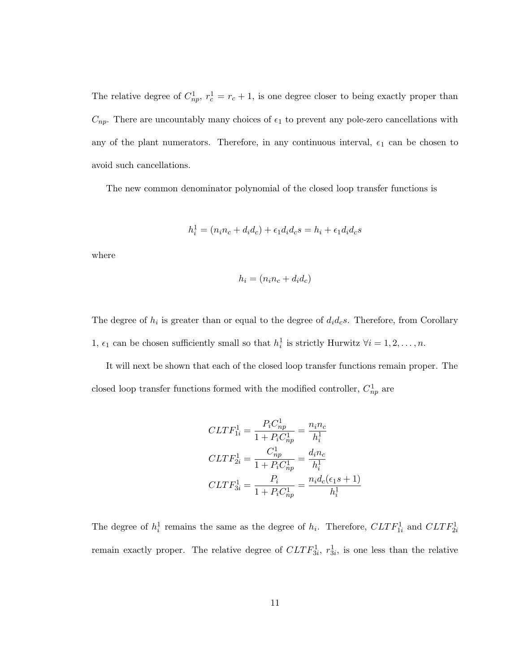The relative degree of  $C_{np}^1$ ,  $r_c^1 = r_c + 1$ , is one degree closer to being exactly proper than  $C_{np}$ . There are uncountably many choices of  $\epsilon_1$  to prevent any pole-zero cancellations with any of the plant numerators. Therefore, in any continuous interval,  $\epsilon_1$  can be chosen to avoid such cancellations.

The new common denominator polynomial of the closed loop transfer functions is

$$
h_i^1 = (n_i n_c + d_i d_c) + \epsilon_1 d_i d_c s = h_i + \epsilon_1 d_i d_c s
$$

where

$$
h_i = (n_i n_c + d_i d_c)
$$

The degree of  $h_i$  is greater than or equal to the degree of  $d_i d_c s$ . Therefore, from Corollary 1,  $\epsilon_1$  can be chosen sufficiently small so that  $h_i^1$  is strictly Hurwitz  $\forall i = 1, 2, ..., n$ .

It will next be shown that each of the closed loop transfer functions remain proper. The closed loop transfer functions formed with the modified controller,  $C_{np}^1$  are

$$
CLTF_{1i}^{1} = \frac{P_i C_{np}^{1}}{1 + P_i C_{np}^{1}} = \frac{n_i n_c}{h_i^1}
$$

$$
CLTF_{2i}^{1} = \frac{C_{np}^{1}}{1 + P_i C_{np}^{1}} = \frac{d_i n_c}{h_i^1}
$$

$$
CLTF_{3i}^{1} = \frac{P_i}{1 + P_i C_{np}^{1}} = \frac{n_i d_c (\epsilon_1 s + 1)}{h_i^1}
$$

The degree of  $h_i^1$  remains the same as the degree of  $h_i$ . Therefore,  $CLTF_{1i}^1$  and  $CLTF_{2i}^1$ remain exactly proper. The relative degree of  $CLTF_{3i}^1$ ,  $r_{3i}^1$ , is one less than the relative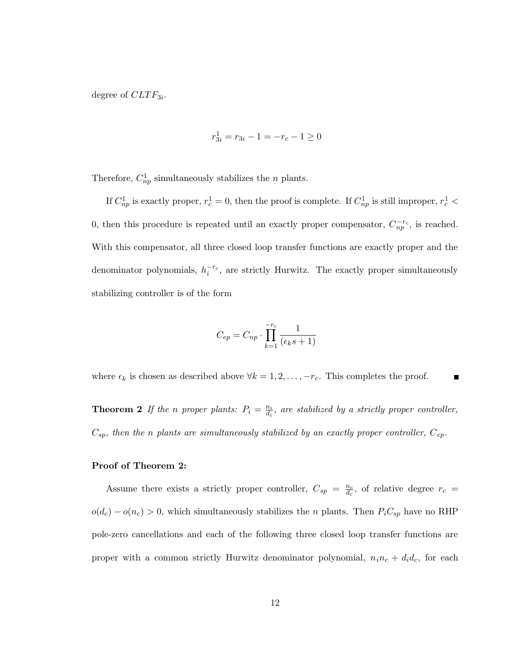degree of  $CLTF_{3i}$ .

$$
r_{3i}^1 = r_{3i} - 1 = -r_c - 1 \ge 0
$$

Therefore,  $C_{np}^1$  simultaneously stabilizes the *n* plants.

If  $C_{np}^1$  is exactly proper,  $r_c^1 = 0$ , then the proof is complete. If  $C_{np}^1$  is still improper,  $r_c^1$  < 0, then this procedure is repeated until an exactly proper compensator,  $C_{np}^{-r_c}$ , is reached. With this compensator, all three closed loop transfer functions are exactly proper and the denominator polynomials,  $h_i^{-r_c}$ , are strictly Hurwitz. The exactly proper simultaneously stabilizing controller is of the form

$$
C_{ep} = C_{np} \cdot \prod_{k=1}^{-r_c} \frac{1}{(\epsilon_k s + 1)}
$$

where  $\epsilon_k$  is chosen as described above  $\forall k = 1, 2, \ldots, -r_c$ . This completes the proof.

**Theorem 2** If the *n* proper plants:  $P_i = \frac{n_i}{d_i}$  $\frac{n_i}{d_i}$ , are stabilized by a strictly proper controller,  $C_{sp}$ , then the n plants are simultaneously stabilized by an exactly proper controller,  $C_{ep}$ .

#### Proof of Theorem 2:

Assume there exists a strictly proper controller,  $C_{sp} = \frac{n_c}{d_c}$  $\frac{n_c}{d_c}$ , of relative degree  $r_c =$  $o(d_c) - o(n_c) > 0$ , which simultaneously stabilizes the *n* plants. Then  $P_i C_{sp}$  have no RHP pole-zero cancellations and each of the following three closed loop transfer functions are proper with a common strictly Hurwitz denominator polynomial,  $n_i n_c + d_i d_c$ , for each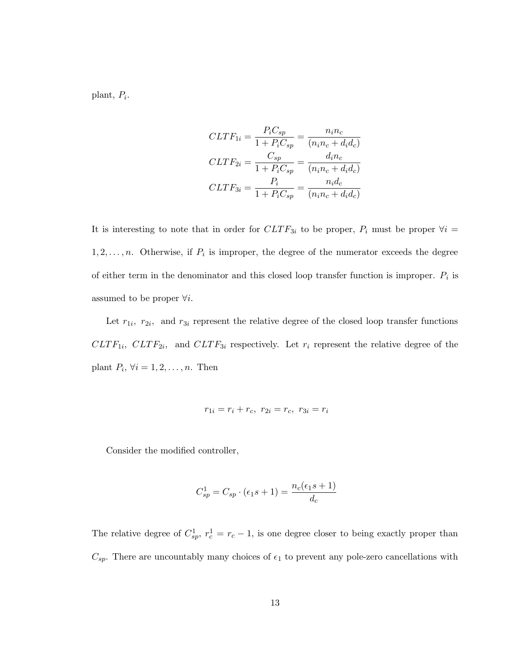plant,  $P_i$ .

$$
CLTF_{1i} = \frac{P_i C_{sp}}{1 + P_i C_{sp}} = \frac{n_i n_c}{(n_i n_c + d_i d_c)}
$$

$$
CLTF_{2i} = \frac{C_{sp}}{1 + P_i C_{sp}} = \frac{d_i n_c}{(n_i n_c + d_i d_c)}
$$

$$
CLTF_{3i} = \frac{P_i}{1 + P_i C_{sp}} = \frac{n_i d_c}{(n_i n_c + d_i d_c)}
$$

It is interesting to note that in order for  $CLTF_{3i}$  to be proper,  $P_i$  must be proper  $\forall i =$  $1, 2, \ldots, n$ . Otherwise, if  $P_i$  is improper, the degree of the numerator exceeds the degree of either term in the denominator and this closed loop transfer function is improper.  $P_i$  is assumed to be proper  $\forall i$ .

Let  $r_{1i}$ ,  $r_{2i}$ , and  $r_{3i}$  represent the relative degree of the closed loop transfer functions  $CLTF_{1i}$ ,  $CLTF_{2i}$ , and  $CLTF_{3i}$  respectively. Let  $r_i$  represent the relative degree of the plant  $P_i$ ,  $\forall i = 1, 2, \ldots, n$ . Then

$$
r_{1i} = r_i + r_c, \ r_{2i} = r_c, \ r_{3i} = r_i
$$

Consider the modified controller,

$$
C_{sp}^1 = C_{sp} \cdot (\epsilon_1 s + 1) = \frac{n_c(\epsilon_1 s + 1)}{d_c}
$$

The relative degree of  $C_{sp}^1$ ,  $r_c^1 = r_c - 1$ , is one degree closer to being exactly proper than  $C_{sp}$ . There are uncountably many choices of  $\epsilon_1$  to prevent any pole-zero cancellations with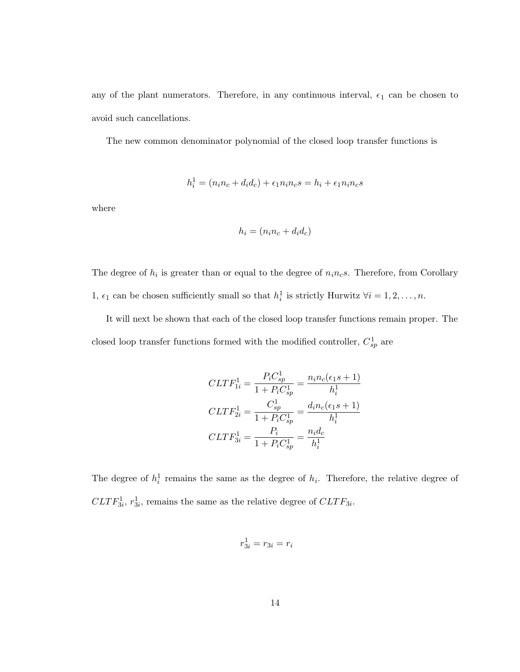any of the plant numerators. Therefore, in any continuous interval,  $\epsilon_1$  can be chosen to avoid such cancellations.

The new common denominator polynomial of the closed loop transfer functions is

$$
h_i^1 = (n_i n_c + d_i d_c) + \epsilon_1 n_i n_c s = h_i + \epsilon_1 n_i n_c s
$$

where

$$
h_i = (n_i n_c + d_i d_c)
$$

The degree of  $h_i$  is greater than or equal to the degree of  $n_i n_c s$ . Therefore, from Corollary 1,  $\epsilon_1$  can be chosen sufficiently small so that  $h_i^1$  is strictly Hurwitz  $\forall i = 1, 2, ..., n$ .

It will next be shown that each of the closed loop transfer functions remain proper. The closed loop transfer functions formed with the modified controller,  $C_{sp}^{1}$  are

$$
CLTF_{1i}^{1} = \frac{P_i C_{sp}^{1}}{1 + P_i C_{sp}^{1}} = \frac{n_i n_c (\epsilon_1 s + 1)}{h_i^{1}}
$$

$$
CLTF_{2i}^{1} = \frac{C_{sp}^{1}}{1 + P_i C_{sp}^{1}} = \frac{d_i n_c (\epsilon_1 s + 1)}{h_i^{1}}
$$

$$
CLTF_{3i}^{1} = \frac{P_i}{1 + P_i C_{sp}^{1}} = \frac{n_i d_c}{h_i^{1}}
$$

The degree of  $h_i^1$  remains the same as the degree of  $h_i$ . Therefore, the relative degree of  $CLTF_{3i}^1$ ,  $r_{3i}^1$ , remains the same as the relative degree of  $CLTF_{3i}$ .

$$
r_{3i}^1 = r_{3i} = r_i
$$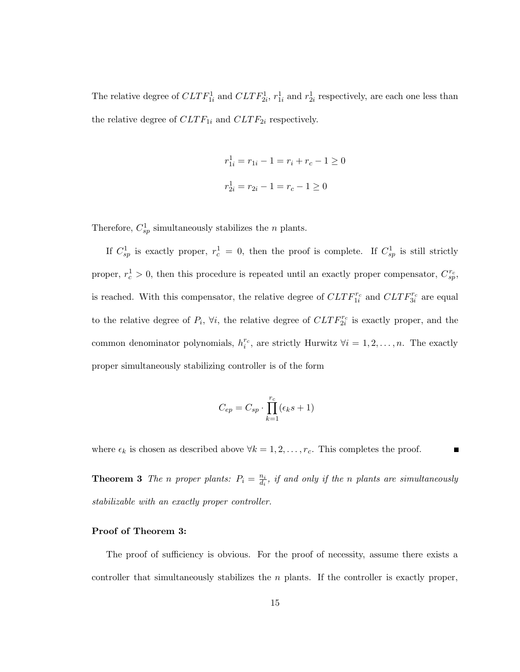The relative degree of  $CLTF_{1i}^1$  and  $CLTF_{2i}^1$ ,  $r_{1i}^1$  and  $r_{2i}^1$  respectively, are each one less than the relative degree of  $CLTF_{1i}$  and  $CLTF_{2i}$  respectively.

$$
r_{1i}^{1} = r_{1i} - 1 = r_{i} + r_{c} - 1 \ge 0
$$
  

$$
r_{2i}^{1} = r_{2i} - 1 = r_{c} - 1 \ge 0
$$

Therefore,  $C_{sp}^1$  simultaneously stabilizes the *n* plants.

If  $C_{sp}^1$  is exactly proper,  $r_c^1 = 0$ , then the proof is complete. If  $C_{sp}^1$  is still strictly proper,  $r_c^1 > 0$ , then this procedure is repeated until an exactly proper compensator,  $C_{sp}^{r_c}$ , is reached. With this compensator, the relative degree of  $CLTF_{1i}^{r_c}$  and  $CLTF_{3i}^{r_c}$  are equal to the relative degree of  $P_i$ ,  $\forall i$ , the relative degree of  $CLTF_{2i}^{r_c}$  is exactly proper, and the common denominator polynomials,  $h_i^{r_c}$ , are strictly Hurwitz  $\forall i = 1, 2, ..., n$ . The exactly proper simultaneously stabilizing controller is of the form

$$
C_{ep} = C_{sp} \cdot \prod_{k=1}^{r_c} (\epsilon_k s + 1)
$$

where  $\epsilon_k$  is chosen as described above  $\forall k = 1, 2, \ldots, r_c$ . This completes the proof.

**Theorem 3** The *n* proper plants:  $P_i = \frac{n_i}{d_i}$  $\frac{n_i}{d_i}$ , if and only if the n plants are simultaneously stabilizable with an exactly proper controller.

#### Proof of Theorem 3:

The proof of sufficiency is obvious. For the proof of necessity, assume there exists a controller that simultaneously stabilizes the  $n$  plants. If the controller is exactly proper,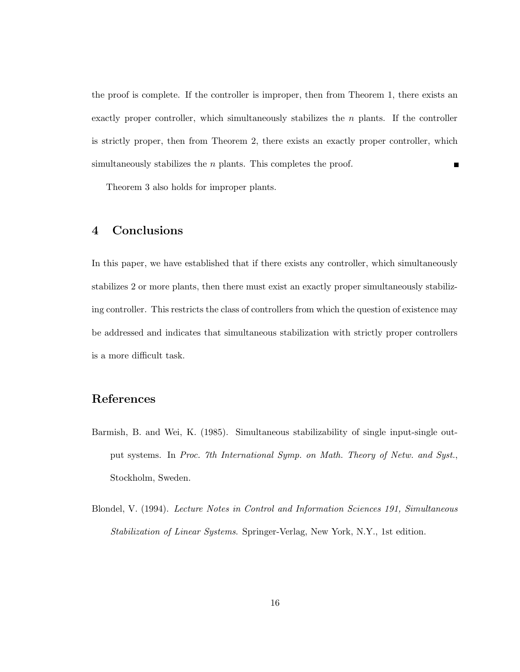the proof is complete. If the controller is improper, then from Theorem 1, there exists an exactly proper controller, which simultaneously stabilizes the  $n$  plants. If the controller is strictly proper, then from Theorem 2, there exists an exactly proper controller, which simultaneously stabilizes the  $n$  plants. This completes the proof.  $\blacksquare$ 

Theorem 3 also holds for improper plants.

# 4 Conclusions

In this paper, we have established that if there exists any controller, which simultaneously stabilizes 2 or more plants, then there must exist an exactly proper simultaneously stabilizing controller. This restricts the class of controllers from which the question of existence may be addressed and indicates that simultaneous stabilization with strictly proper controllers is a more difficult task.

# References

- Barmish, B. and Wei, K. (1985). Simultaneous stabilizability of single input-single output systems. In Proc. 7th International Symp. on Math. Theory of Netw. and Syst., Stockholm, Sweden.
- Blondel, V. (1994). Lecture Notes in Control and Information Sciences 191, Simultaneous Stabilization of Linear Systems. Springer-Verlag, New York, N.Y., 1st edition.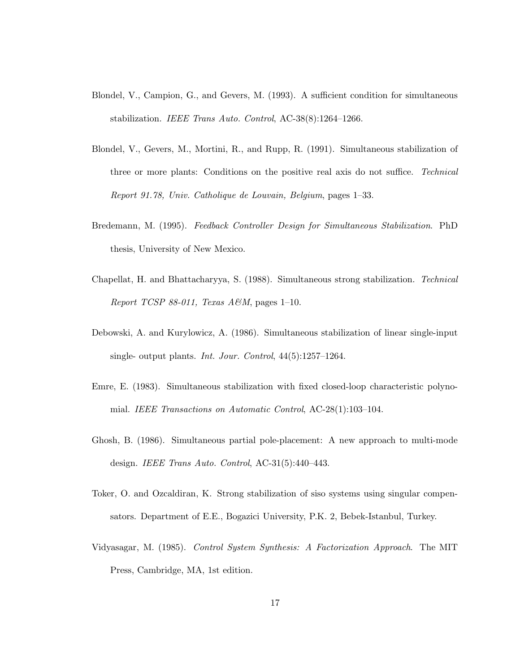- Blondel, V., Campion, G., and Gevers, M. (1993). A sufficient condition for simultaneous stabilization. IEEE Trans Auto. Control, AC-38(8):1264–1266.
- Blondel, V., Gevers, M., Mortini, R., and Rupp, R. (1991). Simultaneous stabilization of three or more plants: Conditions on the positive real axis do not suffice. Technical Report 91.78, Univ. Catholique de Louvain, Belgium, pages 1–33.
- Bredemann, M. (1995). Feedback Controller Design for Simultaneous Stabilization. PhD thesis, University of New Mexico.
- Chapellat, H. and Bhattacharyya, S. (1988). Simultaneous strong stabilization. Technical Report TCSP 88-011, Texas  $A\mathcal{B}M$ , pages 1-10.
- Debowski, A. and Kurylowicz, A. (1986). Simultaneous stabilization of linear single-input single- output plants. Int. Jour. Control, 44(5):1257–1264.
- Emre, E. (1983). Simultaneous stabilization with fixed closed-loop characteristic polynomial. IEEE Transactions on Automatic Control, AC-28(1):103–104.
- Ghosh, B. (1986). Simultaneous partial pole-placement: A new approach to multi-mode design. IEEE Trans Auto. Control, AC-31(5):440–443.
- Toker, O. and Ozcaldiran, K. Strong stabilization of siso systems using singular compensators. Department of E.E., Bogazici University, P.K. 2, Bebek-Istanbul, Turkey.
- Vidyasagar, M. (1985). Control System Synthesis: A Factorization Approach. The MIT Press, Cambridge, MA, 1st edition.